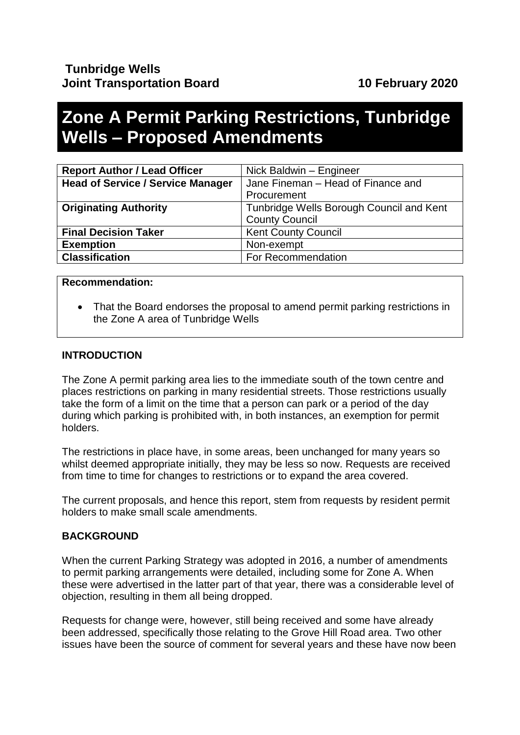# **Zone A Permit Parking Restrictions, Tunbridge Wells – Proposed Amendments**

| <b>Report Author / Lead Officer</b>      | Nick Baldwin - Engineer                  |
|------------------------------------------|------------------------------------------|
| <b>Head of Service / Service Manager</b> | Jane Fineman - Head of Finance and       |
|                                          | Procurement                              |
| <b>Originating Authority</b>             | Tunbridge Wells Borough Council and Kent |
|                                          | <b>County Council</b>                    |
| <b>Final Decision Taker</b>              | <b>Kent County Council</b>               |
| <b>Exemption</b>                         | Non-exempt                               |
| <b>Classification</b>                    | For Recommendation                       |

#### **Recommendation:**

• That the Board endorses the proposal to amend permit parking restrictions in the Zone A area of Tunbridge Wells

#### **INTRODUCTION**

The Zone A permit parking area lies to the immediate south of the town centre and places restrictions on parking in many residential streets. Those restrictions usually take the form of a limit on the time that a person can park or a period of the day during which parking is prohibited with, in both instances, an exemption for permit holders.

The restrictions in place have, in some areas, been unchanged for many years so whilst deemed appropriate initially, they may be less so now. Requests are received from time to time for changes to restrictions or to expand the area covered.

The current proposals, and hence this report, stem from requests by resident permit holders to make small scale amendments.

#### **BACKGROUND**

When the current Parking Strategy was adopted in 2016, a number of amendments to permit parking arrangements were detailed, including some for Zone A. When these were advertised in the latter part of that year, there was a considerable level of objection, resulting in them all being dropped.

Requests for change were, however, still being received and some have already been addressed, specifically those relating to the Grove Hill Road area. Two other issues have been the source of comment for several years and these have now been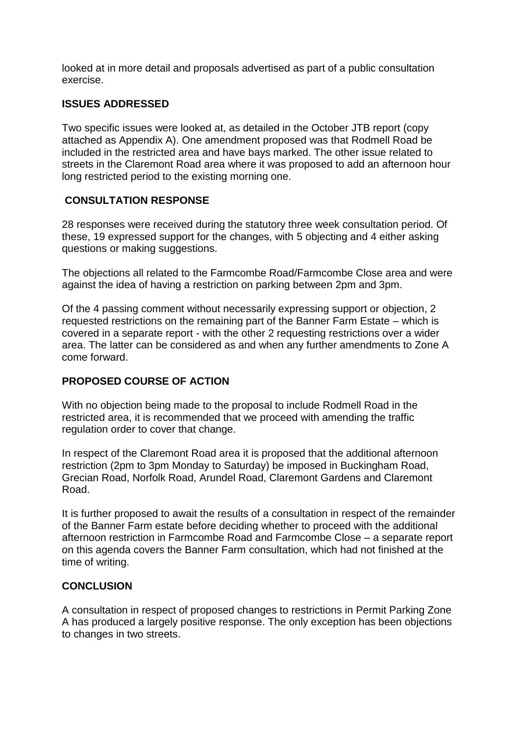looked at in more detail and proposals advertised as part of a public consultation exercise.

## **ISSUES ADDRESSED**

Two specific issues were looked at, as detailed in the October JTB report (copy attached as Appendix A). One amendment proposed was that Rodmell Road be included in the restricted area and have bays marked. The other issue related to streets in the Claremont Road area where it was proposed to add an afternoon hour long restricted period to the existing morning one.

## **CONSULTATION RESPONSE**

28 responses were received during the statutory three week consultation period. Of these, 19 expressed support for the changes, with 5 objecting and 4 either asking questions or making suggestions.

The objections all related to the Farmcombe Road/Farmcombe Close area and were against the idea of having a restriction on parking between 2pm and 3pm.

Of the 4 passing comment without necessarily expressing support or objection, 2 requested restrictions on the remaining part of the Banner Farm Estate – which is covered in a separate report - with the other 2 requesting restrictions over a wider area. The latter can be considered as and when any further amendments to Zone A come forward.

## **PROPOSED COURSE OF ACTION**

With no objection being made to the proposal to include Rodmell Road in the restricted area, it is recommended that we proceed with amending the traffic regulation order to cover that change.

In respect of the Claremont Road area it is proposed that the additional afternoon restriction (2pm to 3pm Monday to Saturday) be imposed in Buckingham Road, Grecian Road, Norfolk Road, Arundel Road, Claremont Gardens and Claremont Road.

It is further proposed to await the results of a consultation in respect of the remainder of the Banner Farm estate before deciding whether to proceed with the additional afternoon restriction in Farmcombe Road and Farmcombe Close – a separate report on this agenda covers the Banner Farm consultation, which had not finished at the time of writing.

## **CONCLUSION**

A consultation in respect of proposed changes to restrictions in Permit Parking Zone A has produced a largely positive response. The only exception has been objections to changes in two streets.